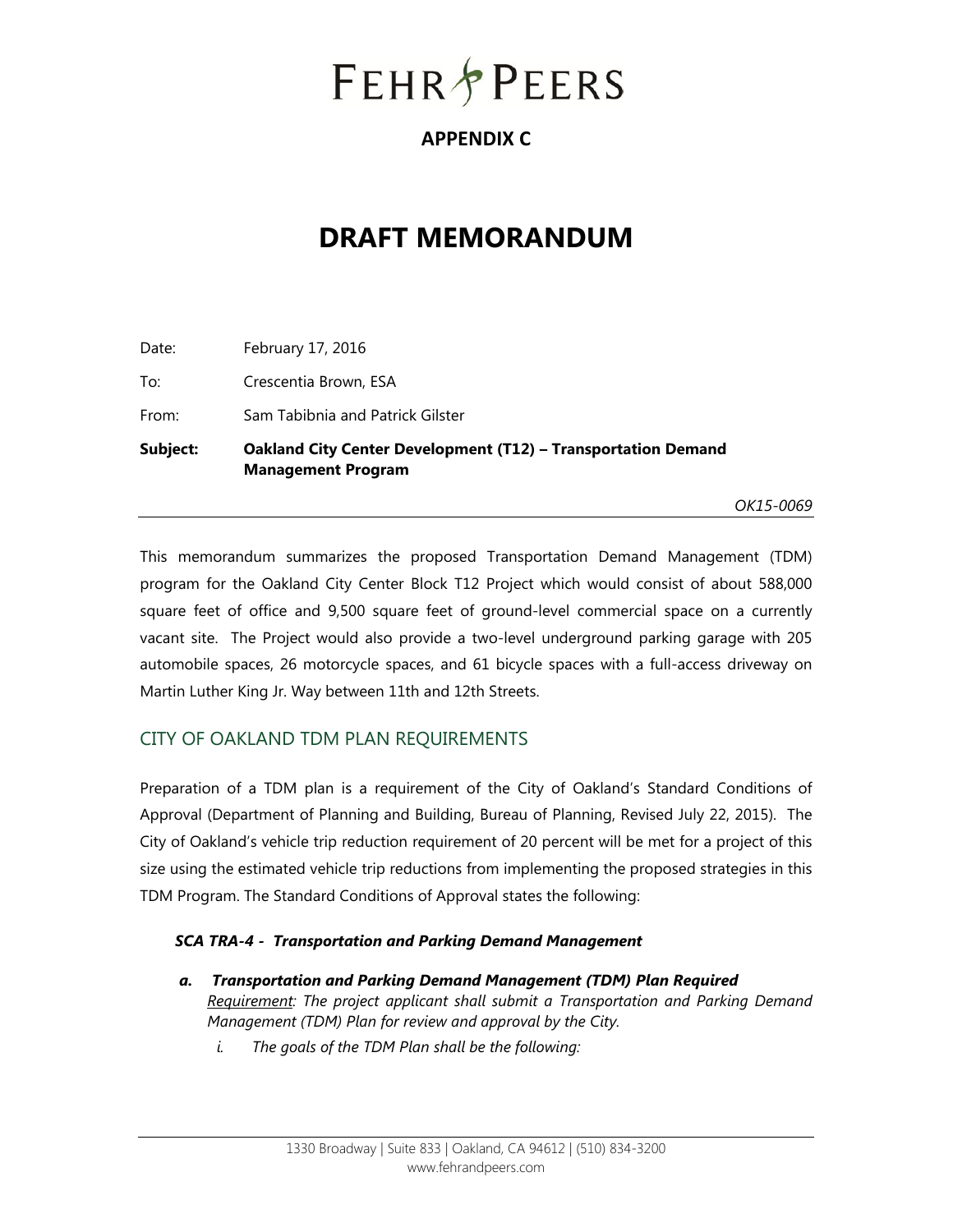# **FEHR PEERS**

# **APPENDIX C**

# **DRAFT MEMORANDUM**

| Subject: | <b>Oakland City Center Development (T12) - Transportation Demand</b><br><b>Management Program</b> |  |
|----------|---------------------------------------------------------------------------------------------------|--|
| From:    | Sam Tabibnia and Patrick Gilster                                                                  |  |
| To:      | Crescentia Brown, ESA                                                                             |  |
| Date:    | February 17, 2016                                                                                 |  |

*OK15-0069* 

This memorandum summarizes the proposed Transportation Demand Management (TDM) program for the Oakland City Center Block T12 Project which would consist of about 588,000 square feet of office and 9,500 square feet of ground-level commercial space on a currently vacant site. The Project would also provide a two-level underground parking garage with 205 automobile spaces, 26 motorcycle spaces, and 61 bicycle spaces with a full-access driveway on Martin Luther King Jr. Way between 11th and 12th Streets.

# CITY OF OAKLAND TDM PLAN REQUIREMENTS

Preparation of a TDM plan is a requirement of the City of Oakland's Standard Conditions of Approval (Department of Planning and Building, Bureau of Planning, Revised July 22, 2015). The City of Oakland's vehicle trip reduction requirement of 20 percent will be met for a project of this size using the estimated vehicle trip reductions from implementing the proposed strategies in this TDM Program. The Standard Conditions of Approval states the following:

#### *SCA TRA-4 - Transportation and Parking Demand Management*

- *a. Transportation and Parking Demand Management (TDM) Plan Required Requirement: The project applicant shall submit a Transportation and Parking Demand Management (TDM) Plan for review and approval by the City.* 
	- *i. The goals of the TDM Plan shall be the following:*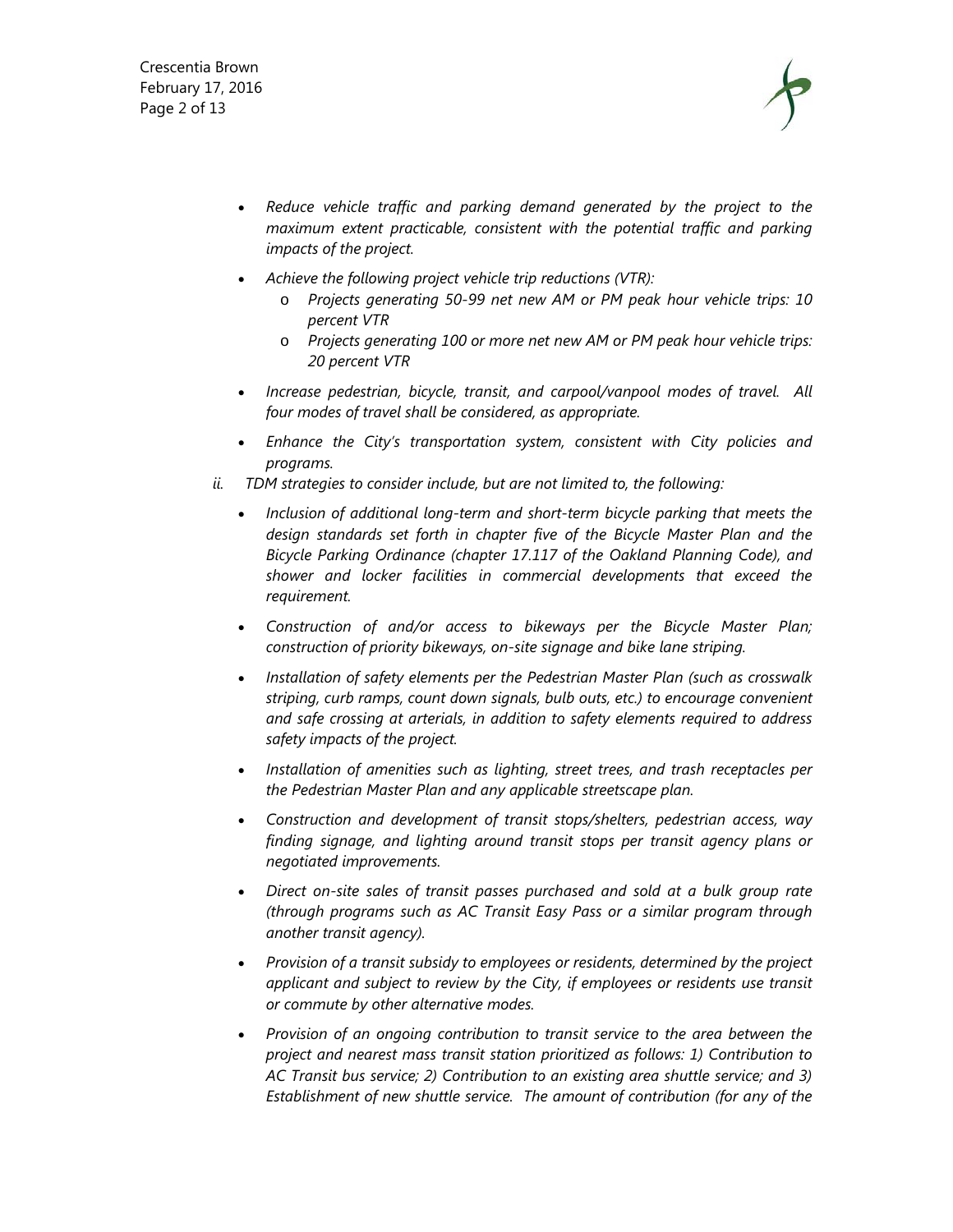Crescentia Brown February 17, 2016 Page 2 of 13



- Reduce vehicle traffic and parking demand generated by the project to the *maximum extent practicable, consistent with the potential traffic and parking impacts of the project.*
- *Achieve the following project vehicle trip reductions (VTR):* 
	- o *Projects generating 50-99 net new AM or PM peak hour vehicle trips: 10 percent VTR*
	- o *Projects generating 100 or more net new AM or PM peak hour vehicle trips: 20 percent VTR*
- *Increase pedestrian, bicycle, transit, and carpool/vanpool modes of travel. All four modes of travel shall be considered, as appropriate.*
- *Enhance the City's transportation system, consistent with City policies and programs.*
- *ii. TDM strategies to consider include, but are not limited to, the following:* 
	- *Inclusion of additional long-term and short-term bicycle parking that meets the design standards set forth in chapter five of the Bicycle Master Plan and the Bicycle Parking Ordinance (chapter 17.117 of the Oakland Planning Code), and shower and locker facilities in commercial developments that exceed the requirement.*
	- *Construction of and/or access to bikeways per the Bicycle Master Plan; construction of priority bikeways, on-site signage and bike lane striping.*
	- *Installation of safety elements per the Pedestrian Master Plan (such as crosswalk striping, curb ramps, count down signals, bulb outs, etc.) to encourage convenient and safe crossing at arterials, in addition to safety elements required to address safety impacts of the project.*
	- *Installation of amenities such as lighting, street trees, and trash receptacles per the Pedestrian Master Plan and any applicable streetscape plan.*
	- *Construction and development of transit stops/shelters, pedestrian access, way finding signage, and lighting around transit stops per transit agency plans or negotiated improvements.*
	- *Direct on-site sales of transit passes purchased and sold at a bulk group rate (through programs such as AC Transit Easy Pass or a similar program through another transit agency).*
	- *Provision of a transit subsidy to employees or residents, determined by the project applicant and subject to review by the City, if employees or residents use transit or commute by other alternative modes.*
	- *Provision of an ongoing contribution to transit service to the area between the project and nearest mass transit station prioritized as follows: 1) Contribution to AC Transit bus service; 2) Contribution to an existing area shuttle service; and 3) Establishment of new shuttle service. The amount of contribution (for any of the*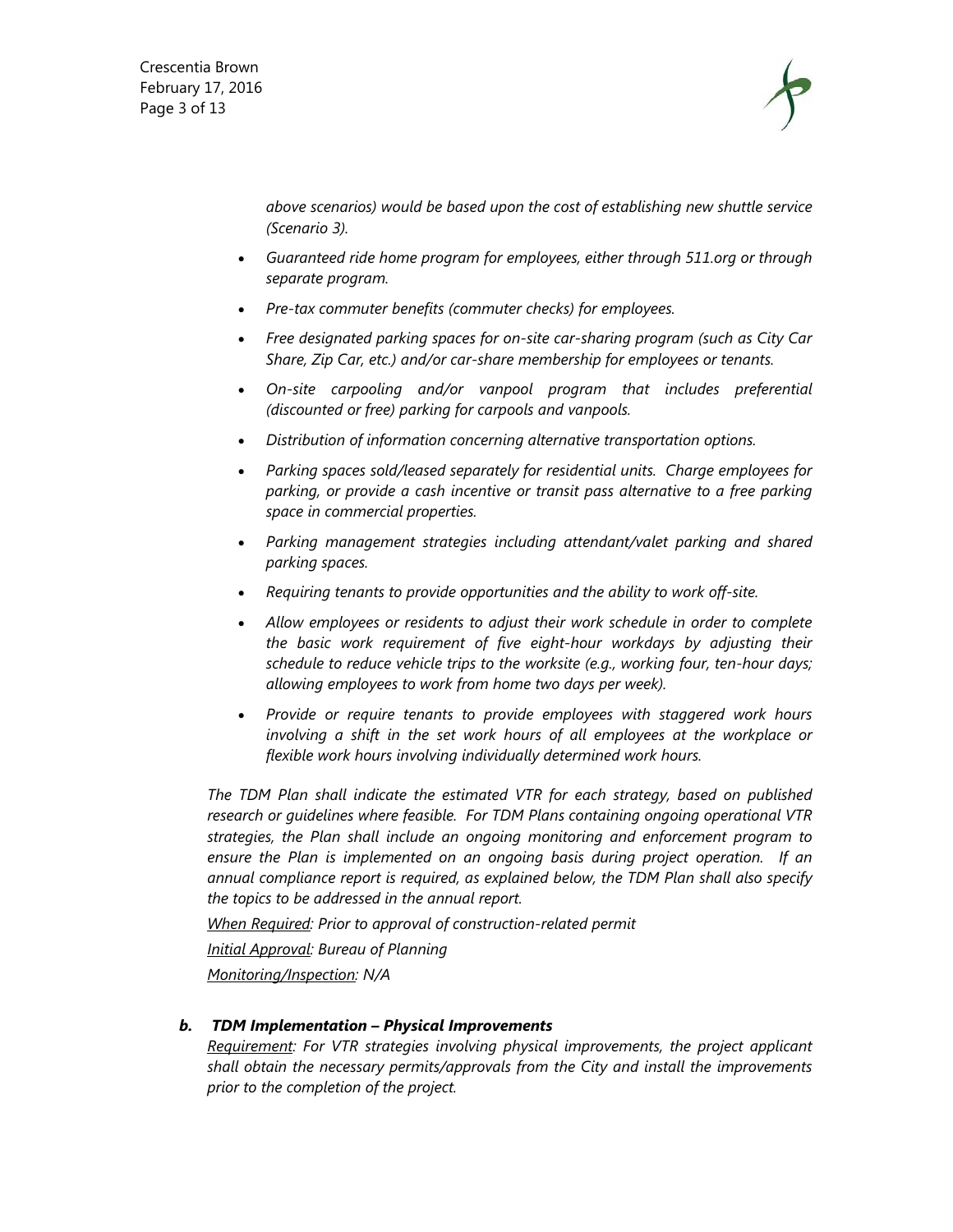Crescentia Brown February 17, 2016 Page 3 of 13



*above scenarios) would be based upon the cost of establishing new shuttle service (Scenario 3).* 

- *Guaranteed ride home program for employees, either through 511.org or through separate program.*
- *Pre-tax commuter benefits (commuter checks) for employees.*
- *Free designated parking spaces for on-site car-sharing program (such as City Car Share, Zip Car, etc.) and/or car-share membership for employees or tenants.*
- *On-site carpooling and/or vanpool program that includes preferential (discounted or free) parking for carpools and vanpools.*
- *Distribution of information concerning alternative transportation options.*
- *Parking spaces sold/leased separately for residential units. Charge employees for parking, or provide a cash incentive or transit pass alternative to a free parking space in commercial properties.*
- *Parking management strategies including attendant/valet parking and shared parking spaces.*
- *Requiring tenants to provide opportunities and the ability to work off-site.*
- *Allow employees or residents to adjust their work schedule in order to complete the basic work requirement of five eight-hour workdays by adjusting their schedule to reduce vehicle trips to the worksite (e.g., working four, ten-hour days; allowing employees to work from home two days per week).*
- *Provide or require tenants to provide employees with staggered work hours*  involving a shift in the set work hours of all employees at the workplace or *flexible work hours involving individually determined work hours.*

*The TDM Plan shall indicate the estimated VTR for each strategy, based on published research or guidelines where feasible. For TDM Plans containing ongoing operational VTR strategies, the Plan shall include an ongoing monitoring and enforcement program to ensure the Plan is implemented on an ongoing basis during project operation. If an annual compliance report is required, as explained below, the TDM Plan shall also specify the topics to be addressed in the annual report.* 

*When Required: Prior to approval of construction-related permit Initial Approval: Bureau of Planning Monitoring/Inspection: N/A* 

*b. TDM Implementation – Physical Improvements Requirement: For VTR strategies involving physical improvements, the project applicant shall obtain the necessary permits/approvals from the City and install the improvements prior to the completion of the project.*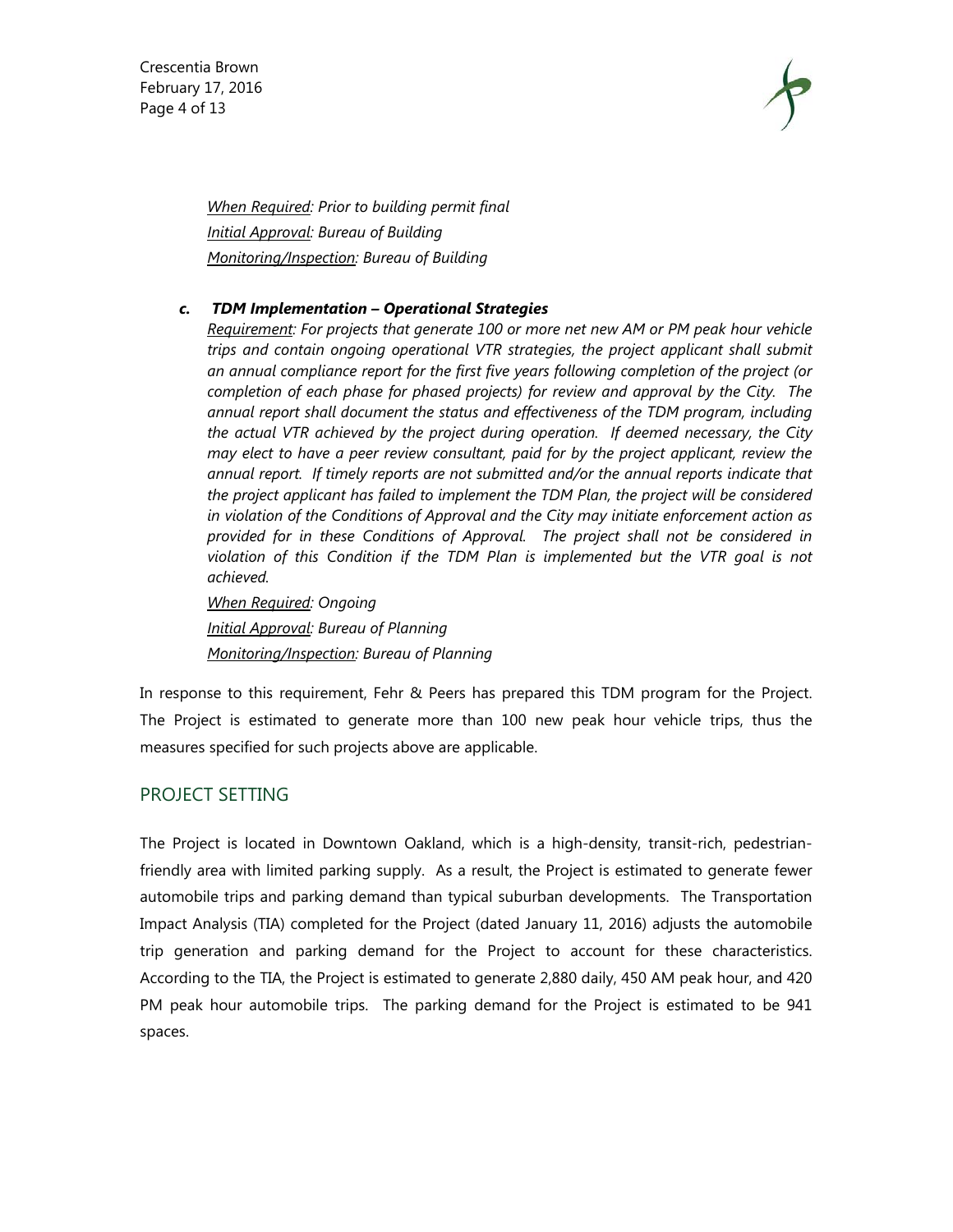Crescentia Brown February 17, 2016 Page 4 of 13



*When Required: Prior to building permit final Initial Approval: Bureau of Building Monitoring/Inspection: Bureau of Building* 

#### *c. TDM Implementation – Operational Strategies*

*Requirement: For projects that generate 100 or more net new AM or PM peak hour vehicle trips and contain ongoing operational VTR strategies, the project applicant shall submit an annual compliance report for the first five years following completion of the project (or completion of each phase for phased projects) for review and approval by the City. The annual report shall document the status and effectiveness of the TDM program, including the actual VTR achieved by the project during operation. If deemed necessary, the City may elect to have a peer review consultant, paid for by the project applicant, review the annual report. If timely reports are not submitted and/or the annual reports indicate that the project applicant has failed to implement the TDM Plan, the project will be considered in violation of the Conditions of Approval and the City may initiate enforcement action as provided for in these Conditions of Approval. The project shall not be considered in violation of this Condition if the TDM Plan is implemented but the VTR goal is not achieved.* 

*When Required: Ongoing Initial Approval: Bureau of Planning Monitoring/Inspection: Bureau of Planning*

In response to this requirement, Fehr & Peers has prepared this TDM program for the Project. The Project is estimated to generate more than 100 new peak hour vehicle trips, thus the measures specified for such projects above are applicable.

#### PROJECT SETTING

The Project is located in Downtown Oakland, which is a high-density, transit-rich, pedestrianfriendly area with limited parking supply. As a result, the Project is estimated to generate fewer automobile trips and parking demand than typical suburban developments. The Transportation Impact Analysis (TIA) completed for the Project (dated January 11, 2016) adjusts the automobile trip generation and parking demand for the Project to account for these characteristics. According to the TIA, the Project is estimated to generate 2,880 daily, 450 AM peak hour, and 420 PM peak hour automobile trips. The parking demand for the Project is estimated to be 941 spaces.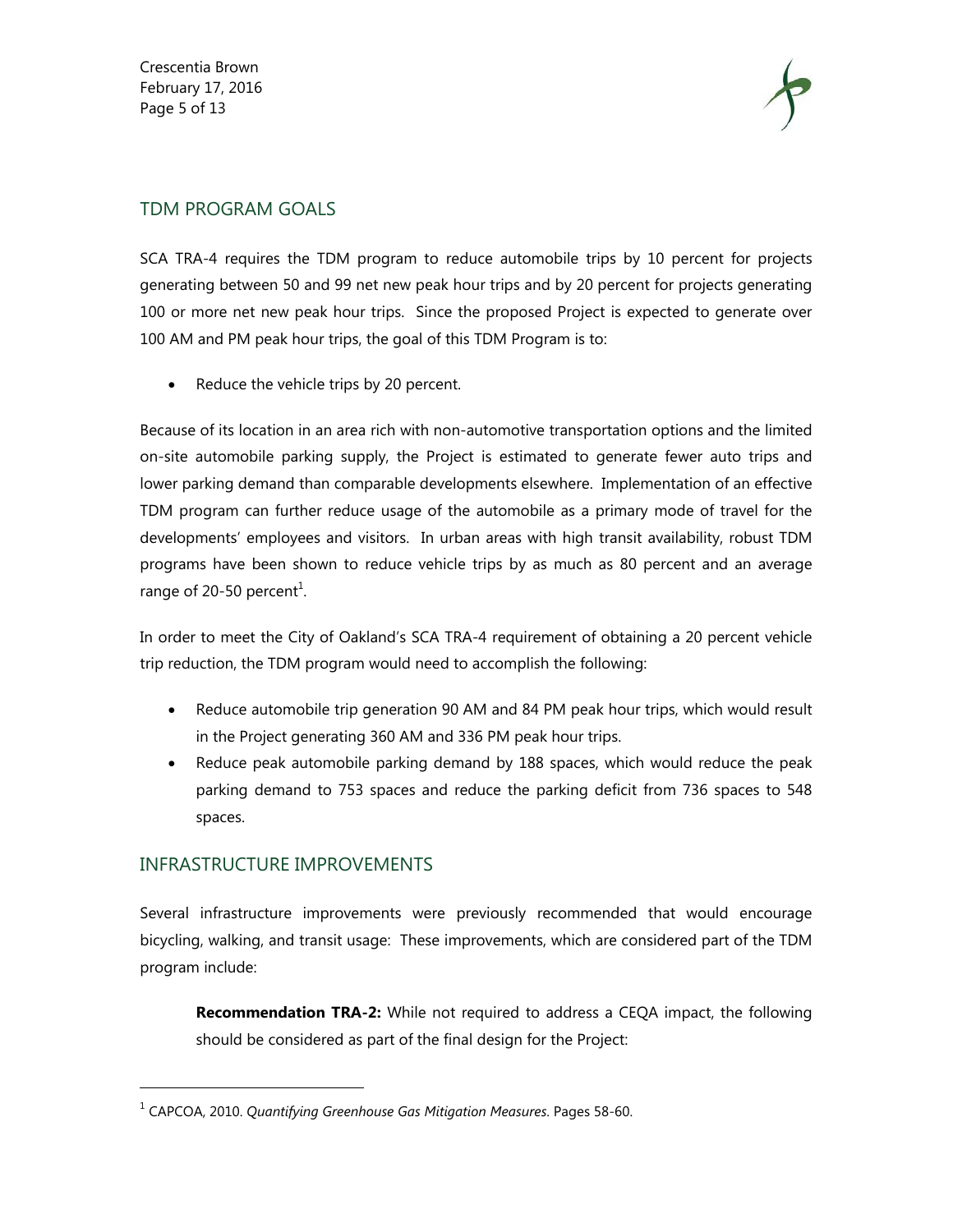Crescentia Brown February 17, 2016 Page 5 of 13



# TDM PROGRAM GOALS

SCA TRA-4 requires the TDM program to reduce automobile trips by 10 percent for projects generating between 50 and 99 net new peak hour trips and by 20 percent for projects generating 100 or more net new peak hour trips. Since the proposed Project is expected to generate over 100 AM and PM peak hour trips, the goal of this TDM Program is to:

• Reduce the vehicle trips by 20 percent.

Because of its location in an area rich with non-automotive transportation options and the limited on-site automobile parking supply, the Project is estimated to generate fewer auto trips and lower parking demand than comparable developments elsewhere. Implementation of an effective TDM program can further reduce usage of the automobile as a primary mode of travel for the developments' employees and visitors. In urban areas with high transit availability, robust TDM programs have been shown to reduce vehicle trips by as much as 80 percent and an average range of 20-50 percent<sup>1</sup>.

In order to meet the City of Oakland's SCA TRA-4 requirement of obtaining a 20 percent vehicle trip reduction, the TDM program would need to accomplish the following:

- Reduce automobile trip generation 90 AM and 84 PM peak hour trips, which would result in the Project generating 360 AM and 336 PM peak hour trips.
- Reduce peak automobile parking demand by 188 spaces, which would reduce the peak parking demand to 753 spaces and reduce the parking deficit from 736 spaces to 548 spaces.

# INFRASTRUCTURE IMPROVEMENTS

l

Several infrastructure improvements were previously recommended that would encourage bicycling, walking, and transit usage: These improvements, which are considered part of the TDM program include:

**Recommendation TRA-2:** While not required to address a CEQA impact, the following should be considered as part of the final design for the Project:

<sup>1</sup> CAPCOA, 2010. *Quantifying Greenhouse Gas Mitigation Measures*. Pages 58-60.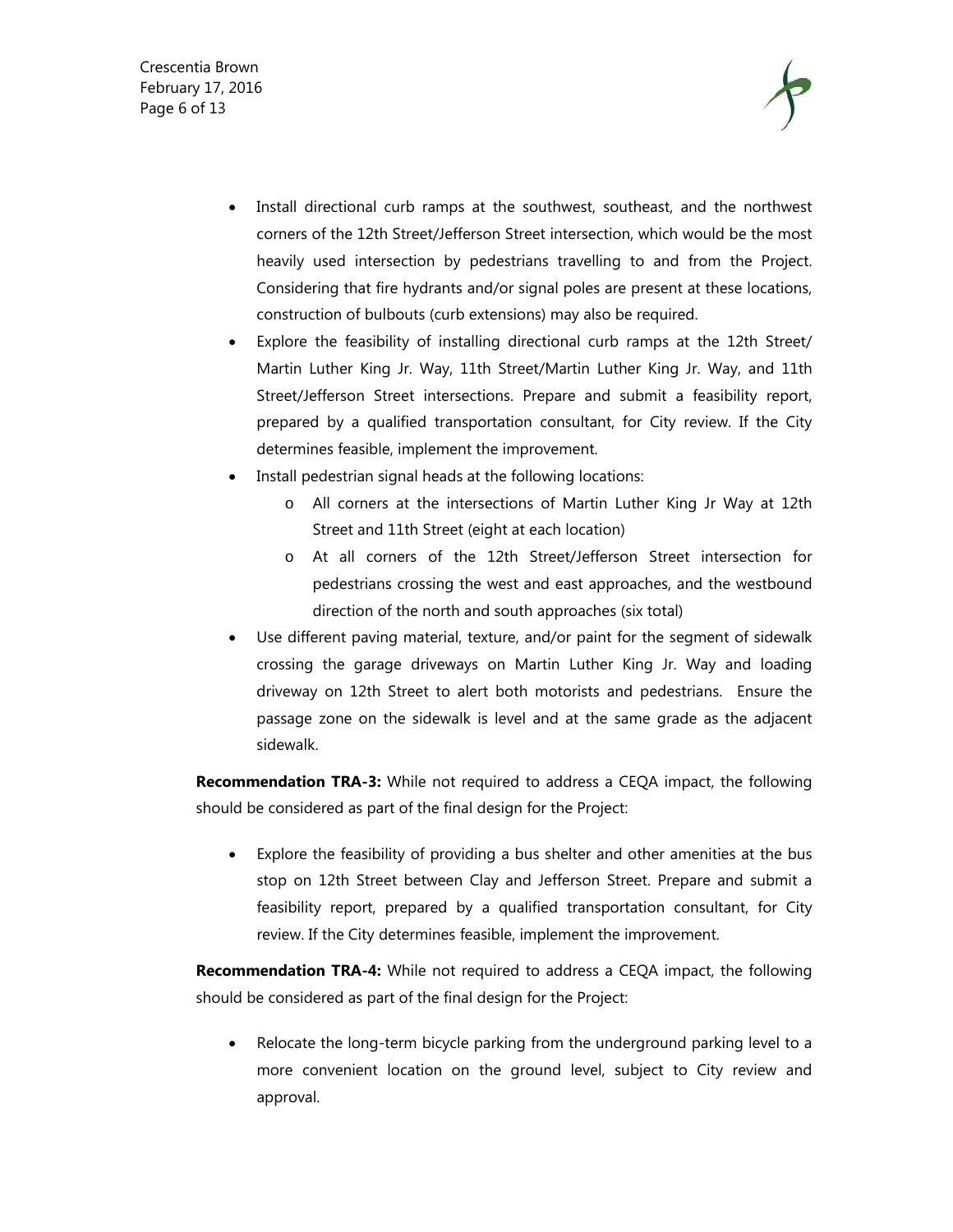Crescentia Brown February 17, 2016 Page 6 of 13



- Install directional curb ramps at the southwest, southeast, and the northwest corners of the 12th Street/Jefferson Street intersection, which would be the most heavily used intersection by pedestrians travelling to and from the Project. Considering that fire hydrants and/or signal poles are present at these locations, construction of bulbouts (curb extensions) may also be required.
- Explore the feasibility of installing directional curb ramps at the 12th Street/ Martin Luther King Jr. Way, 11th Street/Martin Luther King Jr. Way, and 11th Street/Jefferson Street intersections. Prepare and submit a feasibility report, prepared by a qualified transportation consultant, for City review. If the City determines feasible, implement the improvement.
- Install pedestrian signal heads at the following locations:
	- o All corners at the intersections of Martin Luther King Jr Way at 12th Street and 11th Street (eight at each location)
	- o At all corners of the 12th Street/Jefferson Street intersection for pedestrians crossing the west and east approaches, and the westbound direction of the north and south approaches (six total)
- Use different paving material, texture, and/or paint for the segment of sidewalk crossing the garage driveways on Martin Luther King Jr. Way and loading driveway on 12th Street to alert both motorists and pedestrians. Ensure the passage zone on the sidewalk is level and at the same grade as the adjacent sidewalk.

**Recommendation TRA-3:** While not required to address a CEQA impact, the following should be considered as part of the final design for the Project:

 Explore the feasibility of providing a bus shelter and other amenities at the bus stop on 12th Street between Clay and Jefferson Street. Prepare and submit a feasibility report, prepared by a qualified transportation consultant, for City review. If the City determines feasible, implement the improvement.

**Recommendation TRA-4:** While not required to address a CEQA impact, the following should be considered as part of the final design for the Project:

 Relocate the long-term bicycle parking from the underground parking level to a more convenient location on the ground level, subject to City review and approval.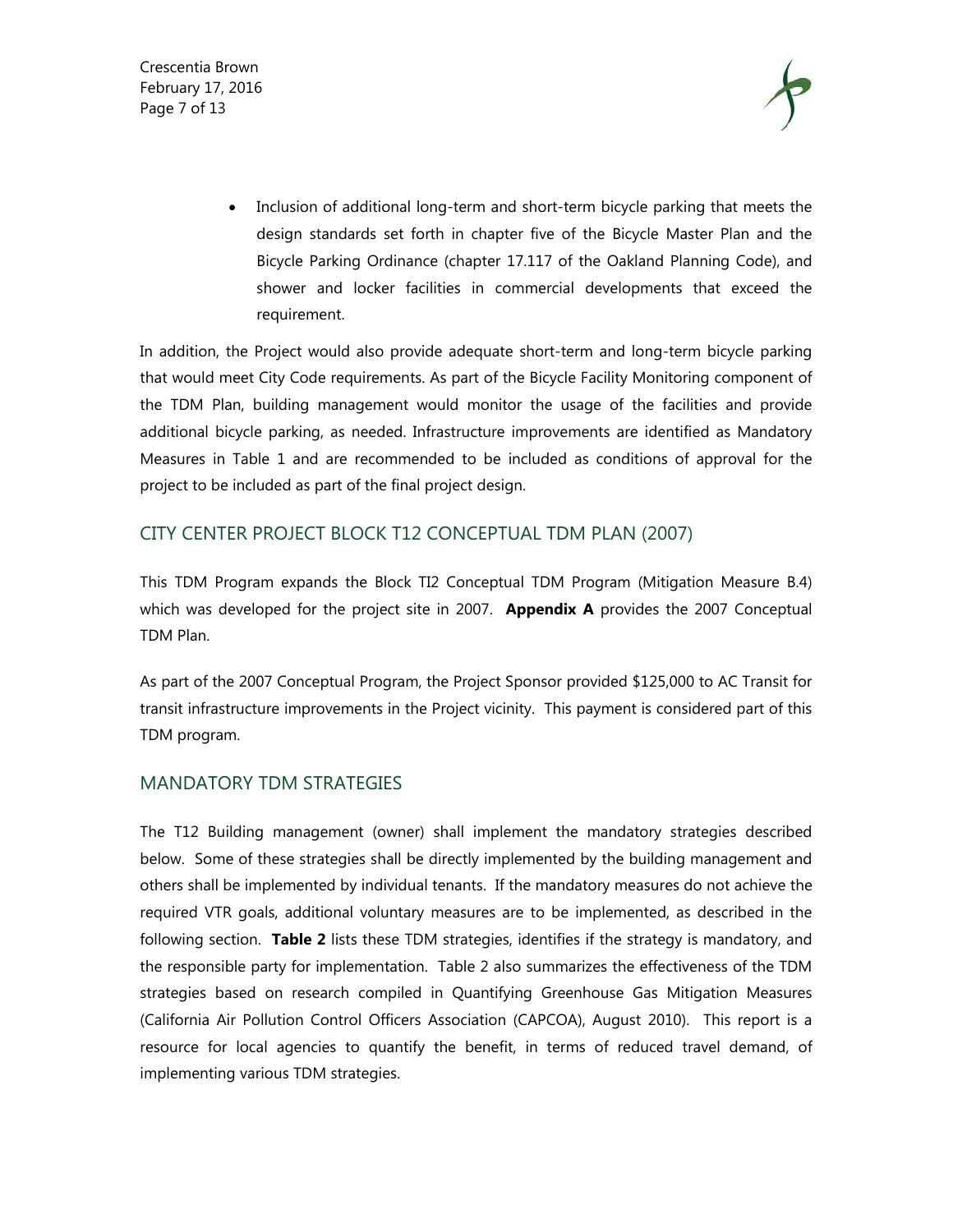Crescentia Brown February 17, 2016 Page 7 of 13



• Inclusion of additional long-term and short-term bicycle parking that meets the design standards set forth in chapter five of the Bicycle Master Plan and the Bicycle Parking Ordinance (chapter 17.117 of the Oakland Planning Code), and shower and locker facilities in commercial developments that exceed the requirement.

In addition, the Project would also provide adequate short-term and long-term bicycle parking that would meet City Code requirements. As part of the Bicycle Facility Monitoring component of the TDM Plan, building management would monitor the usage of the facilities and provide additional bicycle parking, as needed. Infrastructure improvements are identified as Mandatory Measures in Table 1 and are recommended to be included as conditions of approval for the project to be included as part of the final project design.

# CITY CENTER PROJECT BLOCK T12 CONCEPTUAL TDM PLAN (2007)

This TDM Program expands the Block TI2 Conceptual TDM Program (Mitigation Measure B.4) which was developed for the project site in 2007. **Appendix A** provides the 2007 Conceptual TDM Plan.

As part of the 2007 Conceptual Program, the Project Sponsor provided \$125,000 to AC Transit for transit infrastructure improvements in the Project vicinity. This payment is considered part of this TDM program.

#### MANDATORY TDM STRATEGIES

The T12 Building management (owner) shall implement the mandatory strategies described below. Some of these strategies shall be directly implemented by the building management and others shall be implemented by individual tenants. If the mandatory measures do not achieve the required VTR goals, additional voluntary measures are to be implemented, as described in the following section. **Table 2** lists these TDM strategies, identifies if the strategy is mandatory, and the responsible party for implementation. Table 2 also summarizes the effectiveness of the TDM strategies based on research compiled in Quantifying Greenhouse Gas Mitigation Measures (California Air Pollution Control Officers Association (CAPCOA), August 2010). This report is a resource for local agencies to quantify the benefit, in terms of reduced travel demand, of implementing various TDM strategies.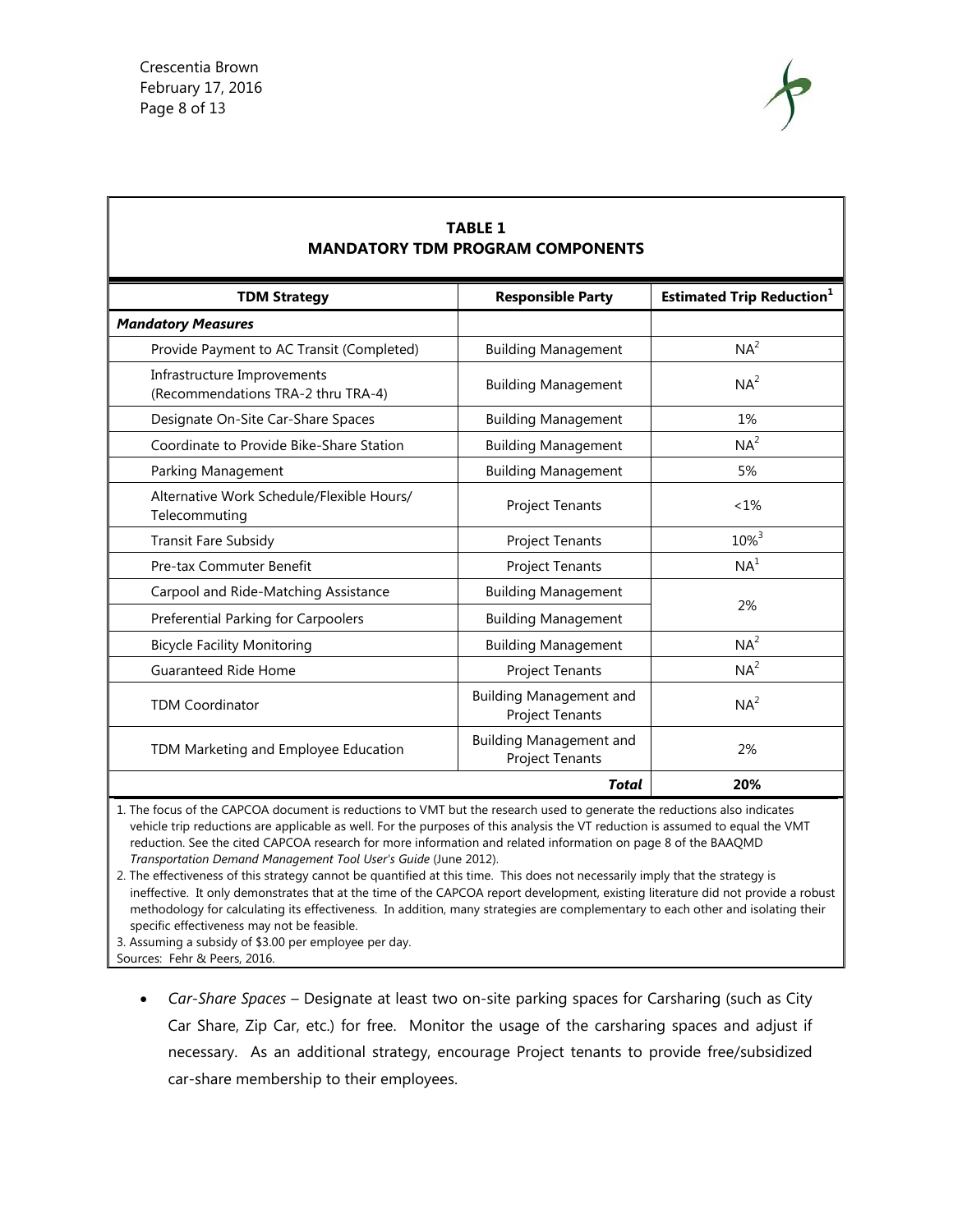

| <b>MANDATORY TDM PROGRAM COMPONENTS</b>                           |                                                          |                                              |  |  |
|-------------------------------------------------------------------|----------------------------------------------------------|----------------------------------------------|--|--|
| <b>TDM Strategy</b>                                               | <b>Responsible Party</b>                                 | <b>Estimated Trip Reduction</b> <sup>1</sup> |  |  |
| <b>Mandatory Measures</b>                                         |                                                          |                                              |  |  |
| Provide Payment to AC Transit (Completed)                         | <b>Building Management</b>                               | NA <sup>2</sup>                              |  |  |
| Infrastructure Improvements<br>(Recommendations TRA-2 thru TRA-4) | <b>Building Management</b>                               | NA <sup>2</sup>                              |  |  |
| Designate On-Site Car-Share Spaces                                | <b>Building Management</b>                               | 1%                                           |  |  |
| Coordinate to Provide Bike-Share Station                          | <b>Building Management</b>                               | NA <sup>2</sup>                              |  |  |
| Parking Management                                                | <b>Building Management</b>                               | 5%                                           |  |  |
| Alternative Work Schedule/Flexible Hours/<br>Telecommuting        | Project Tenants                                          | $< 1\%$                                      |  |  |
| <b>Transit Fare Subsidy</b>                                       | Project Tenants                                          | $10\%^{3}$                                   |  |  |
| Pre-tax Commuter Benefit                                          | Project Tenants                                          | NA <sup>1</sup>                              |  |  |
| Carpool and Ride-Matching Assistance                              | <b>Building Management</b>                               |                                              |  |  |
| Preferential Parking for Carpoolers                               | <b>Building Management</b>                               | 2%                                           |  |  |
| <b>Bicycle Facility Monitoring</b>                                | <b>Building Management</b>                               | NA <sup>2</sup>                              |  |  |
| <b>Guaranteed Ride Home</b>                                       | Project Tenants                                          | NA <sup>2</sup>                              |  |  |
| <b>TDM Coordinator</b>                                            | <b>Building Management and</b><br><b>Project Tenants</b> | NA <sup>2</sup>                              |  |  |
| TDM Marketing and Employee Education                              | <b>Building Management and</b><br>Project Tenants        | 2%                                           |  |  |
|                                                                   | Total                                                    | 20%                                          |  |  |

**TABLE 1** 

#### 1. The focus of the CAPCOA document is reductions to VMT but the research used to generate the reductions also indicates vehicle trip reductions are applicable as well. For the purposes of this analysis the VT reduction is assumed to equal the VMT reduction. See the cited CAPCOA research for more information and related information on page 8 of the BAAQMD *Transportation Demand Management Tool User's Guide* (June 2012).

2. The effectiveness of this strategy cannot be quantified at this time. This does not necessarily imply that the strategy is ineffective. It only demonstrates that at the time of the CAPCOA report development, existing literature did not provide a robust methodology for calculating its effectiveness. In addition, many strategies are complementary to each other and isolating their specific effectiveness may not be feasible.

3. Assuming a subsidy of \$3.00 per employee per day.

Sources: Fehr & Peers, 2016.

 *Car-Share Spaces* – Designate at least two on-site parking spaces for Carsharing (such as City Car Share, Zip Car, etc.) for free. Monitor the usage of the carsharing spaces and adjust if necessary. As an additional strategy, encourage Project tenants to provide free/subsidized car-share membership to their employees.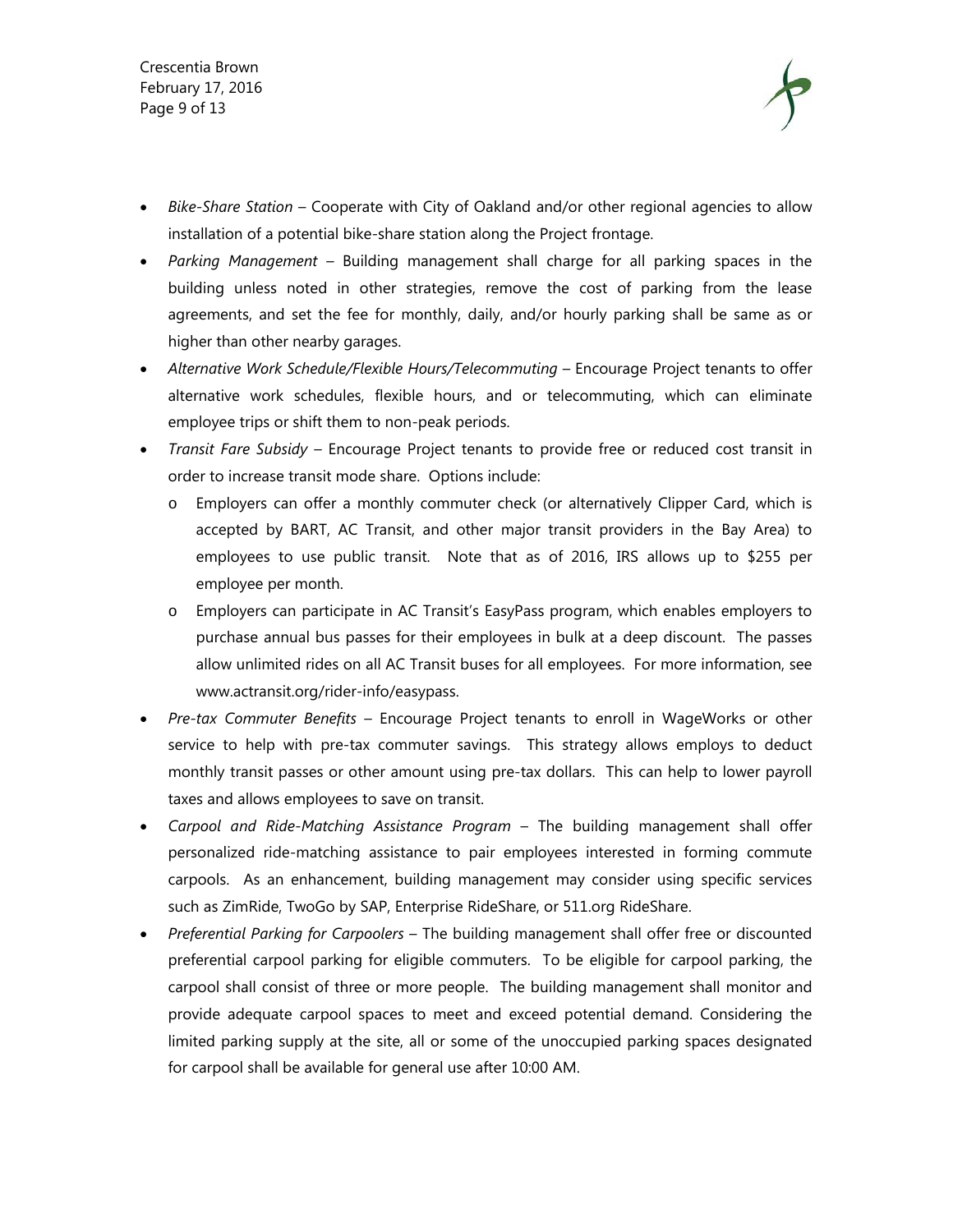Crescentia Brown February 17, 2016 Page 9 of 13



- *Bike-Share Station* Cooperate with City of Oakland and/or other regional agencies to allow installation of a potential bike-share station along the Project frontage.
- *Parking Management* Building management shall charge for all parking spaces in the building unless noted in other strategies, remove the cost of parking from the lease agreements, and set the fee for monthly, daily, and/or hourly parking shall be same as or higher than other nearby garages.
- *Alternative Work Schedule/Flexible Hours/Telecommuting* Encourage Project tenants to offer alternative work schedules, flexible hours, and or telecommuting, which can eliminate employee trips or shift them to non-peak periods.
- *Transit Fare Subsidy*  Encourage Project tenants to provide free or reduced cost transit in order to increase transit mode share. Options include:
	- o Employers can offer a monthly commuter check (or alternatively Clipper Card, which is accepted by BART, AC Transit, and other major transit providers in the Bay Area) to employees to use public transit. Note that as of 2016, IRS allows up to \$255 per employee per month.
	- o Employers can participate in AC Transit's EasyPass program, which enables employers to purchase annual bus passes for their employees in bulk at a deep discount. The passes allow unlimited rides on all AC Transit buses for all employees. For more information, see www.actransit.org/rider-info/easypass.
- *Pre-tax Commuter Benefits* Encourage Project tenants to enroll in WageWorks or other service to help with pre-tax commuter savings. This strategy allows employs to deduct monthly transit passes or other amount using pre-tax dollars. This can help to lower payroll taxes and allows employees to save on transit.
- *Carpool and Ride-Matching Assistance Program* The building management shall offer personalized ride-matching assistance to pair employees interested in forming commute carpools. As an enhancement, building management may consider using specific services such as ZimRide, TwoGo by SAP, Enterprise RideShare, or 511.org RideShare.
- *Preferential Parking for Carpoolers*  The building management shall offer free or discounted preferential carpool parking for eligible commuters. To be eligible for carpool parking, the carpool shall consist of three or more people. The building management shall monitor and provide adequate carpool spaces to meet and exceed potential demand. Considering the limited parking supply at the site, all or some of the unoccupied parking spaces designated for carpool shall be available for general use after 10:00 AM.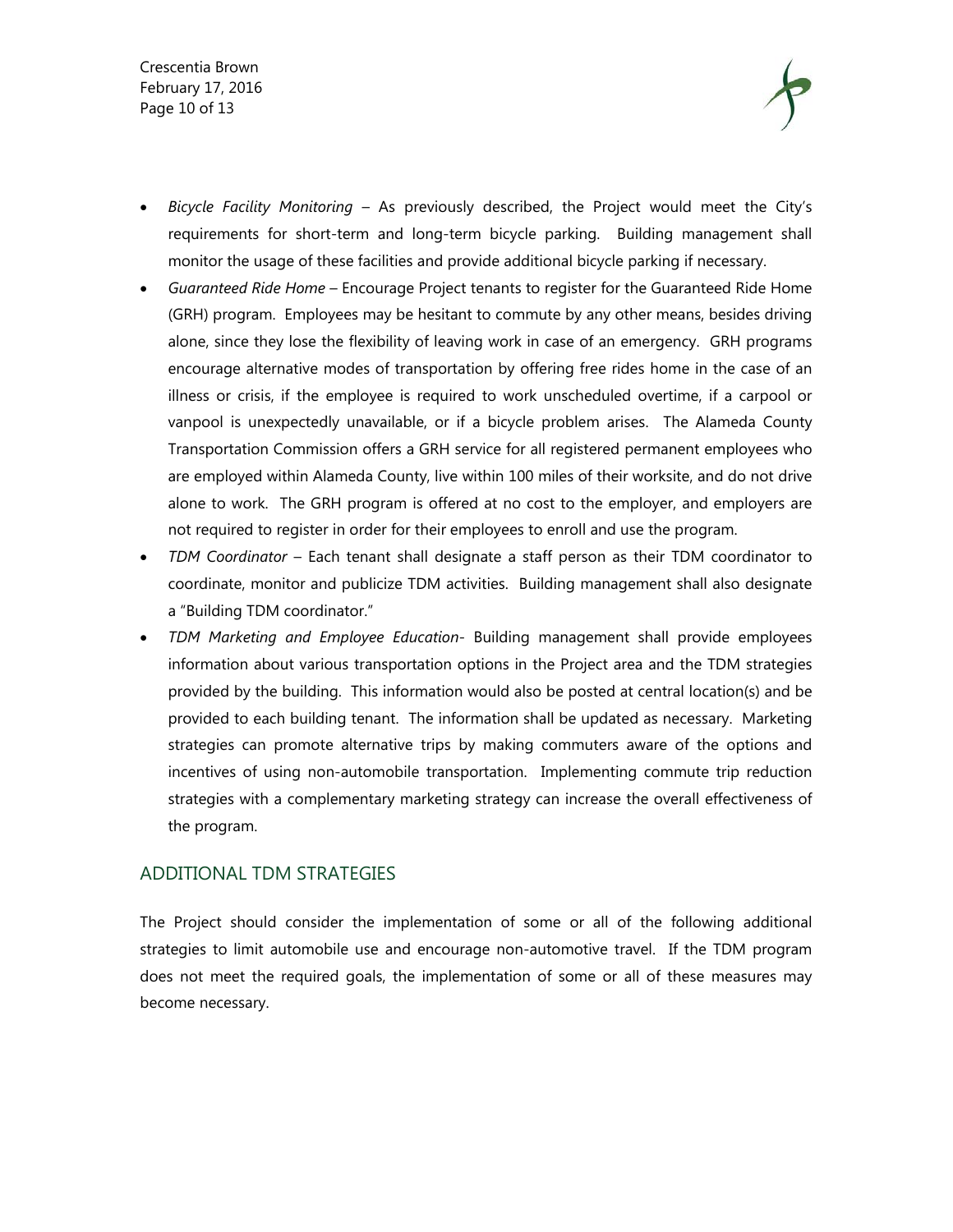Crescentia Brown February 17, 2016 Page 10 of 13



- *Bicycle Facility Monitoring* As previously described, the Project would meet the City's requirements for short-term and long-term bicycle parking. Building management shall monitor the usage of these facilities and provide additional bicycle parking if necessary.
- *Guaranteed Ride Home*  Encourage Project tenants to register for the Guaranteed Ride Home (GRH) program. Employees may be hesitant to commute by any other means, besides driving alone, since they lose the flexibility of leaving work in case of an emergency. GRH programs encourage alternative modes of transportation by offering free rides home in the case of an illness or crisis, if the employee is required to work unscheduled overtime, if a carpool or vanpool is unexpectedly unavailable, or if a bicycle problem arises. The Alameda County Transportation Commission offers a GRH service for all registered permanent employees who are employed within Alameda County, live within 100 miles of their worksite, and do not drive alone to work. The GRH program is offered at no cost to the employer, and employers are not required to register in order for their employees to enroll and use the program.
- *TDM Coordinator* Each tenant shall designate a staff person as their TDM coordinator to coordinate, monitor and publicize TDM activities. Building management shall also designate a "Building TDM coordinator."
- *TDM Marketing and Employee Education* Building management shall provide employees information about various transportation options in the Project area and the TDM strategies provided by the building. This information would also be posted at central location(s) and be provided to each building tenant. The information shall be updated as necessary. Marketing strategies can promote alternative trips by making commuters aware of the options and incentives of using non-automobile transportation. Implementing commute trip reduction strategies with a complementary marketing strategy can increase the overall effectiveness of the program.

#### ADDITIONAL TDM STRATEGIES

The Project should consider the implementation of some or all of the following additional strategies to limit automobile use and encourage non-automotive travel. If the TDM program does not meet the required goals, the implementation of some or all of these measures may become necessary.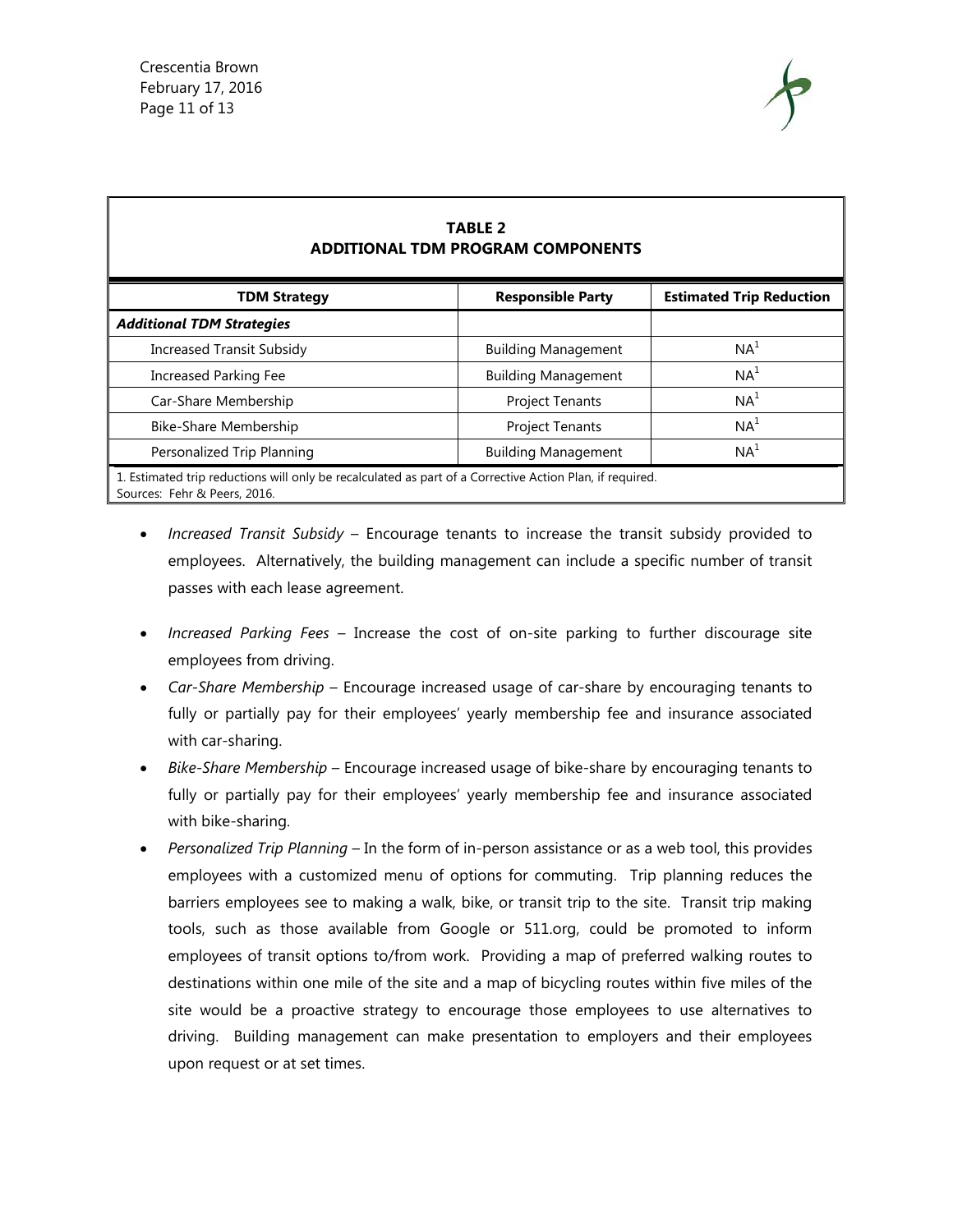Г



| <b>TABLE 2</b><br><b>ADDITIONAL TDM PROGRAM COMPONENTS</b>                                                                               |                            |                                 |  |  |
|------------------------------------------------------------------------------------------------------------------------------------------|----------------------------|---------------------------------|--|--|
| <b>TDM Strategy</b>                                                                                                                      | <b>Responsible Party</b>   | <b>Estimated Trip Reduction</b> |  |  |
| <b>Additional TDM Strategies</b>                                                                                                         |                            |                                 |  |  |
| <b>Increased Transit Subsidy</b>                                                                                                         | <b>Building Management</b> | NA <sup>1</sup>                 |  |  |
| <b>Increased Parking Fee</b>                                                                                                             | <b>Building Management</b> | NA <sup>1</sup>                 |  |  |
| Car-Share Membership                                                                                                                     | <b>Project Tenants</b>     | NA <sup>1</sup>                 |  |  |
| Bike-Share Membership                                                                                                                    | <b>Project Tenants</b>     | NA <sup>1</sup>                 |  |  |
| Personalized Trip Planning                                                                                                               | <b>Building Management</b> | NA <sup>1</sup>                 |  |  |
| 1. Estimated trip reductions will only be recalculated as part of a Corrective Action Plan, if required.<br>Sources: Fehr & Peers, 2016. |                            |                                 |  |  |

- *Increased Transit Subsidy* Encourage tenants to increase the transit subsidy provided to employees. Alternatively, the building management can include a specific number of transit passes with each lease agreement.
- *Increased Parking Fees*  Increase the cost of on-site parking to further discourage site employees from driving.
- *Car-Share Membership* Encourage increased usage of car-share by encouraging tenants to fully or partially pay for their employees' yearly membership fee and insurance associated with car-sharing.
- *Bike-Share Membership* Encourage increased usage of bike-share by encouraging tenants to fully or partially pay for their employees' yearly membership fee and insurance associated with bike-sharing.
- *Personalized Trip Planning* In the form of in-person assistance or as a web tool, this provides employees with a customized menu of options for commuting. Trip planning reduces the barriers employees see to making a walk, bike, or transit trip to the site. Transit trip making tools, such as those available from Google or 511.org, could be promoted to inform employees of transit options to/from work. Providing a map of preferred walking routes to destinations within one mile of the site and a map of bicycling routes within five miles of the site would be a proactive strategy to encourage those employees to use alternatives to driving. Building management can make presentation to employers and their employees upon request or at set times.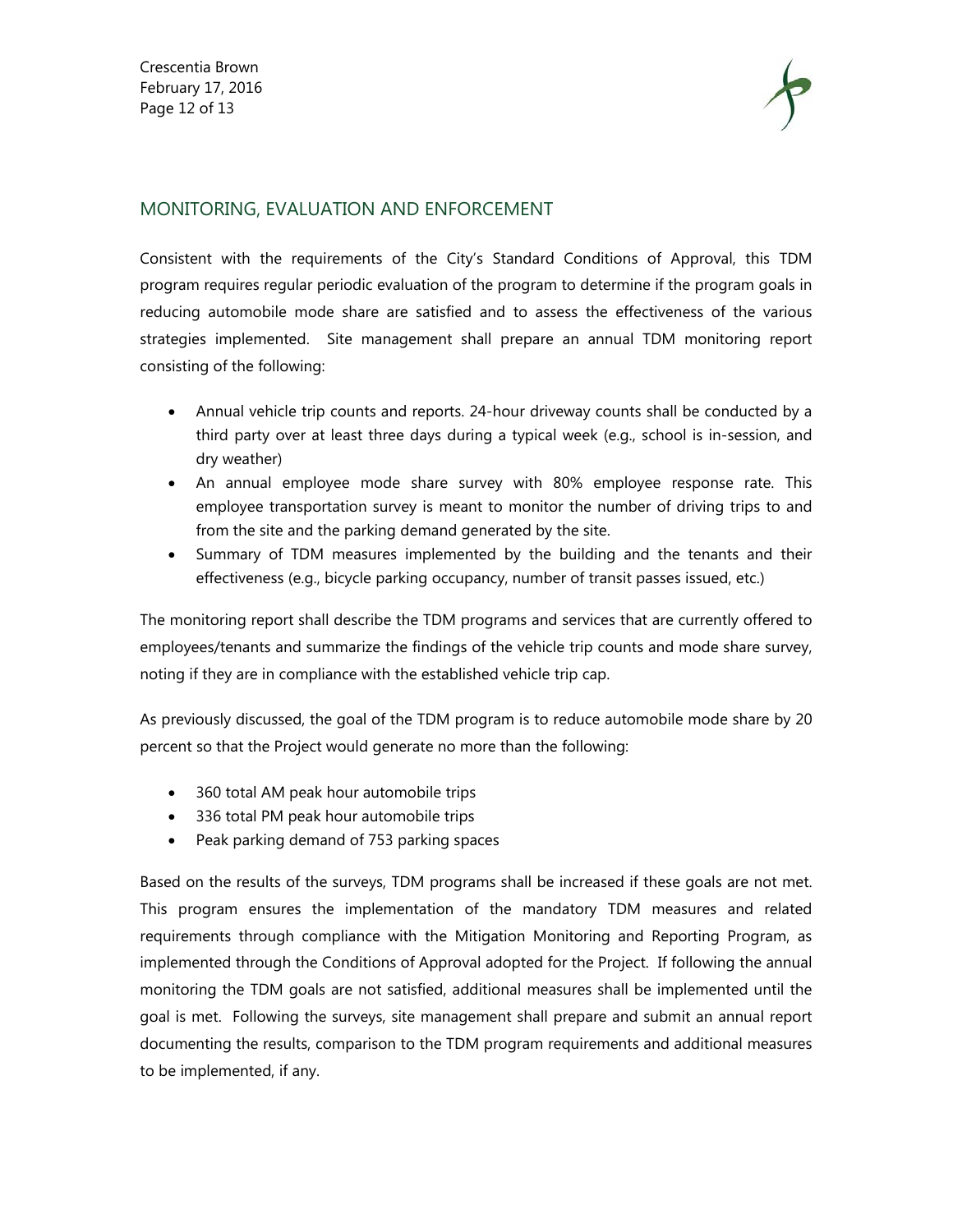

# MONITORING, EVALUATION AND ENFORCEMENT

Consistent with the requirements of the City's Standard Conditions of Approval, this TDM program requires regular periodic evaluation of the program to determine if the program goals in reducing automobile mode share are satisfied and to assess the effectiveness of the various strategies implemented. Site management shall prepare an annual TDM monitoring report consisting of the following:

- Annual vehicle trip counts and reports. 24-hour driveway counts shall be conducted by a third party over at least three days during a typical week (e.g., school is in-session, and dry weather)
- An annual employee mode share survey with 80% employee response rate. This employee transportation survey is meant to monitor the number of driving trips to and from the site and the parking demand generated by the site.
- Summary of TDM measures implemented by the building and the tenants and their effectiveness (e.g., bicycle parking occupancy, number of transit passes issued, etc.)

The monitoring report shall describe the TDM programs and services that are currently offered to employees/tenants and summarize the findings of the vehicle trip counts and mode share survey, noting if they are in compliance with the established vehicle trip cap.

As previously discussed, the goal of the TDM program is to reduce automobile mode share by 20 percent so that the Project would generate no more than the following:

- 360 total AM peak hour automobile trips
- 336 total PM peak hour automobile trips
- Peak parking demand of 753 parking spaces

Based on the results of the surveys, TDM programs shall be increased if these goals are not met. This program ensures the implementation of the mandatory TDM measures and related requirements through compliance with the Mitigation Monitoring and Reporting Program, as implemented through the Conditions of Approval adopted for the Project. If following the annual monitoring the TDM goals are not satisfied, additional measures shall be implemented until the goal is met. Following the surveys, site management shall prepare and submit an annual report documenting the results, comparison to the TDM program requirements and additional measures to be implemented, if any.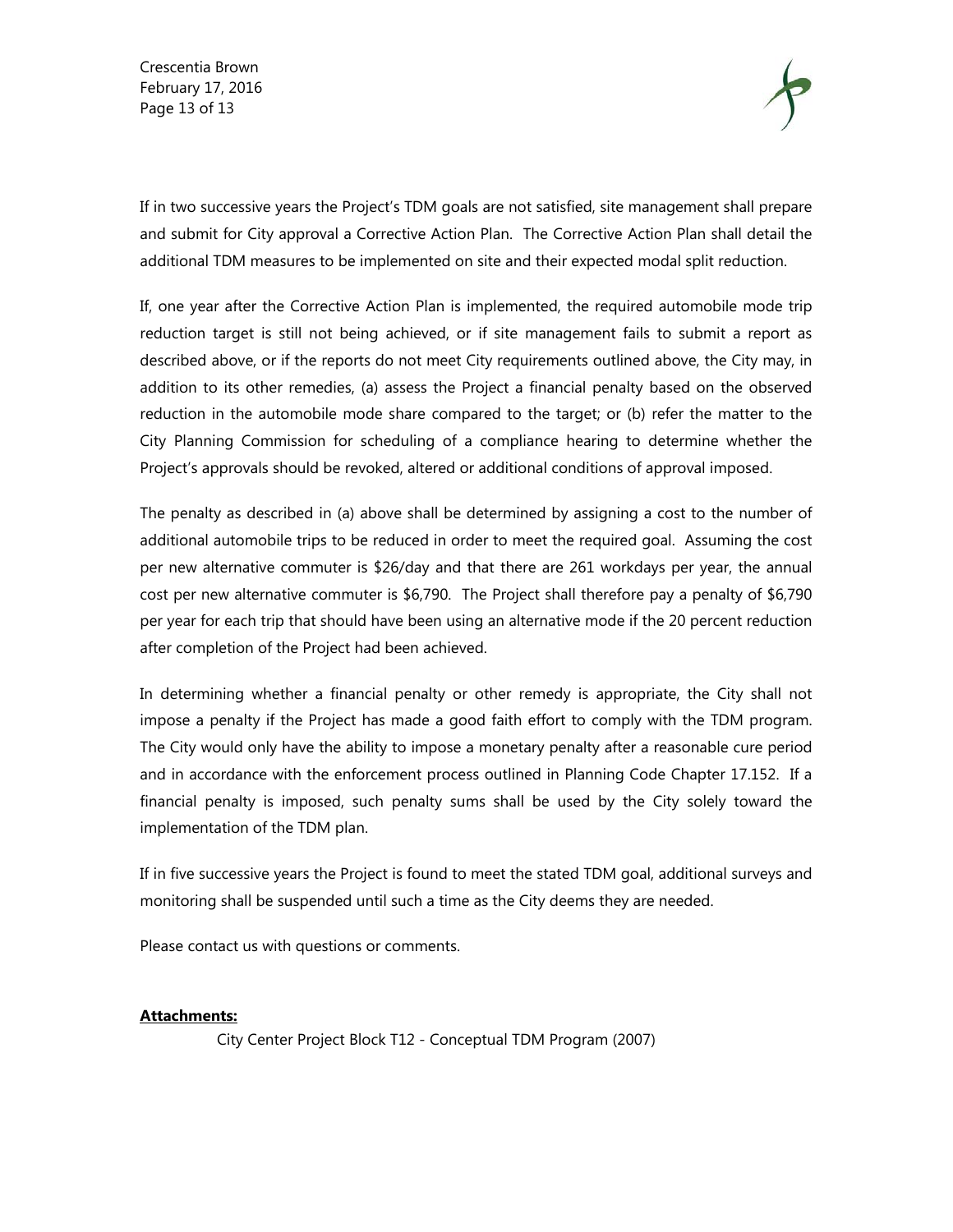Crescentia Brown February 17, 2016 Page 13 of 13



If in two successive years the Project's TDM goals are not satisfied, site management shall prepare and submit for City approval a Corrective Action Plan. The Corrective Action Plan shall detail the additional TDM measures to be implemented on site and their expected modal split reduction.

If, one year after the Corrective Action Plan is implemented, the required automobile mode trip reduction target is still not being achieved, or if site management fails to submit a report as described above, or if the reports do not meet City requirements outlined above, the City may, in addition to its other remedies, (a) assess the Project a financial penalty based on the observed reduction in the automobile mode share compared to the target; or (b) refer the matter to the City Planning Commission for scheduling of a compliance hearing to determine whether the Project's approvals should be revoked, altered or additional conditions of approval imposed.

The penalty as described in (a) above shall be determined by assigning a cost to the number of additional automobile trips to be reduced in order to meet the required goal. Assuming the cost per new alternative commuter is \$26/day and that there are 261 workdays per year, the annual cost per new alternative commuter is \$6,790. The Project shall therefore pay a penalty of \$6,790 per year for each trip that should have been using an alternative mode if the 20 percent reduction after completion of the Project had been achieved.

In determining whether a financial penalty or other remedy is appropriate, the City shall not impose a penalty if the Project has made a good faith effort to comply with the TDM program. The City would only have the ability to impose a monetary penalty after a reasonable cure period and in accordance with the enforcement process outlined in Planning Code Chapter 17.152. If a financial penalty is imposed, such penalty sums shall be used by the City solely toward the implementation of the TDM plan.

If in five successive years the Project is found to meet the stated TDM goal, additional surveys and monitoring shall be suspended until such a time as the City deems they are needed.

Please contact us with questions or comments.

#### **Attachments:**

City Center Project Block T12 - Conceptual TDM Program (2007)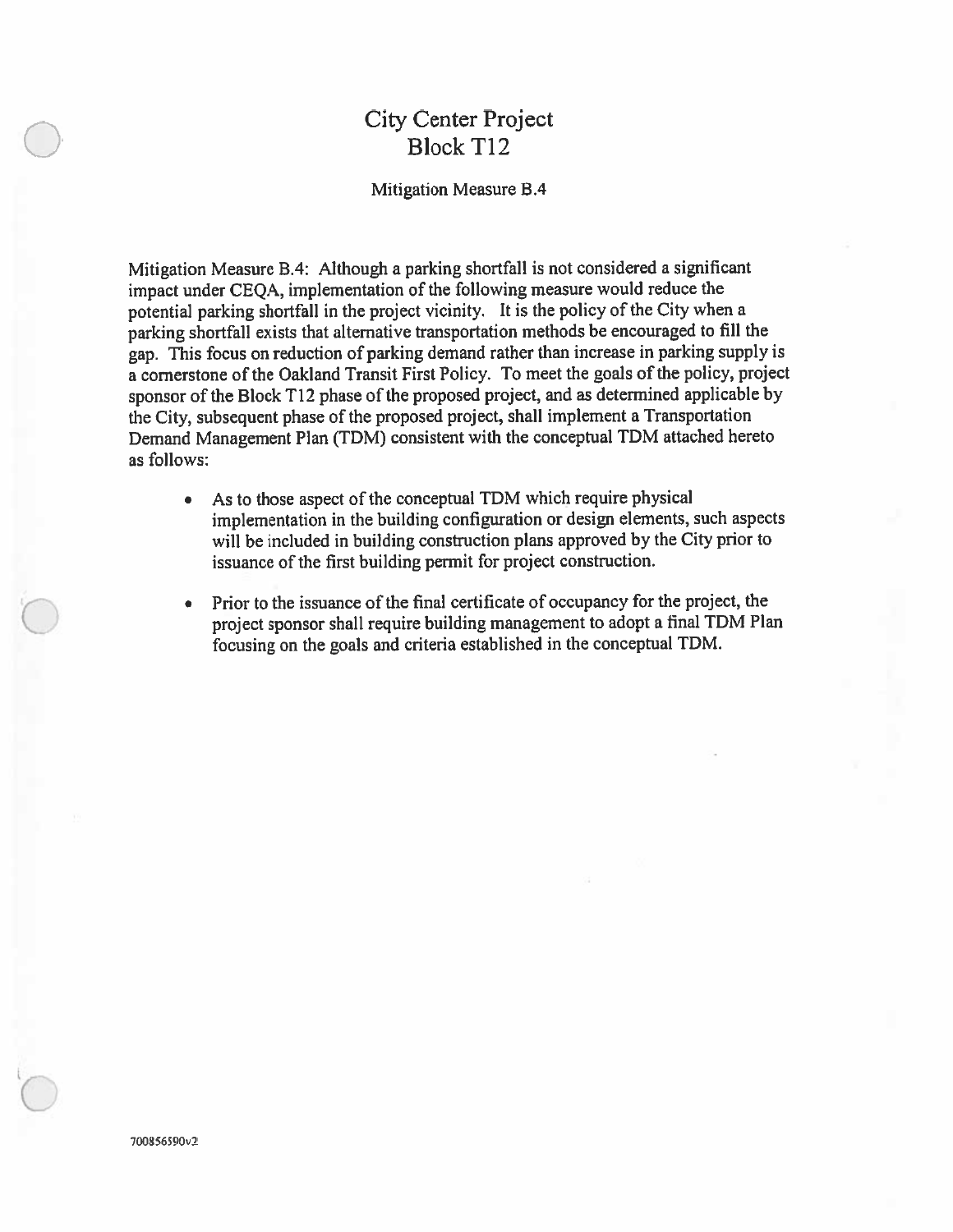# **City Center Project Block T12**

#### Mitigation Measure B.4

Mitigation Measure B.4: Although a parking shortfall is not considered a significant impact under CEQA, implementation of the following measure would reduce the potential parking shortfall in the project vicinity. It is the policy of the City when a parking shortfall exists that alternative transportation methods be encouraged to fill the gap. This focus on reduction of parking demand rather than increase in parking supply is a cornerstone of the Oakland Transit First Policy. To meet the goals of the policy, project sponsor of the Block T12 phase of the proposed project, and as determined applicable by the City, subsequent phase of the proposed project, shall implement a Transportation Demand Management Plan (TDM) consistent with the conceptual TDM attached hereto as follows:

- As to those aspect of the conceptual TDM which require physical  $\bullet$ implementation in the building configuration or design elements, such aspects will be included in building construction plans approved by the City prior to issuance of the first building permit for project construction.
- Prior to the issuance of the final certificate of occupancy for the project, the  $\bullet$ project sponsor shall require building management to adopt a final TDM Plan focusing on the goals and criteria established in the conceptual TDM.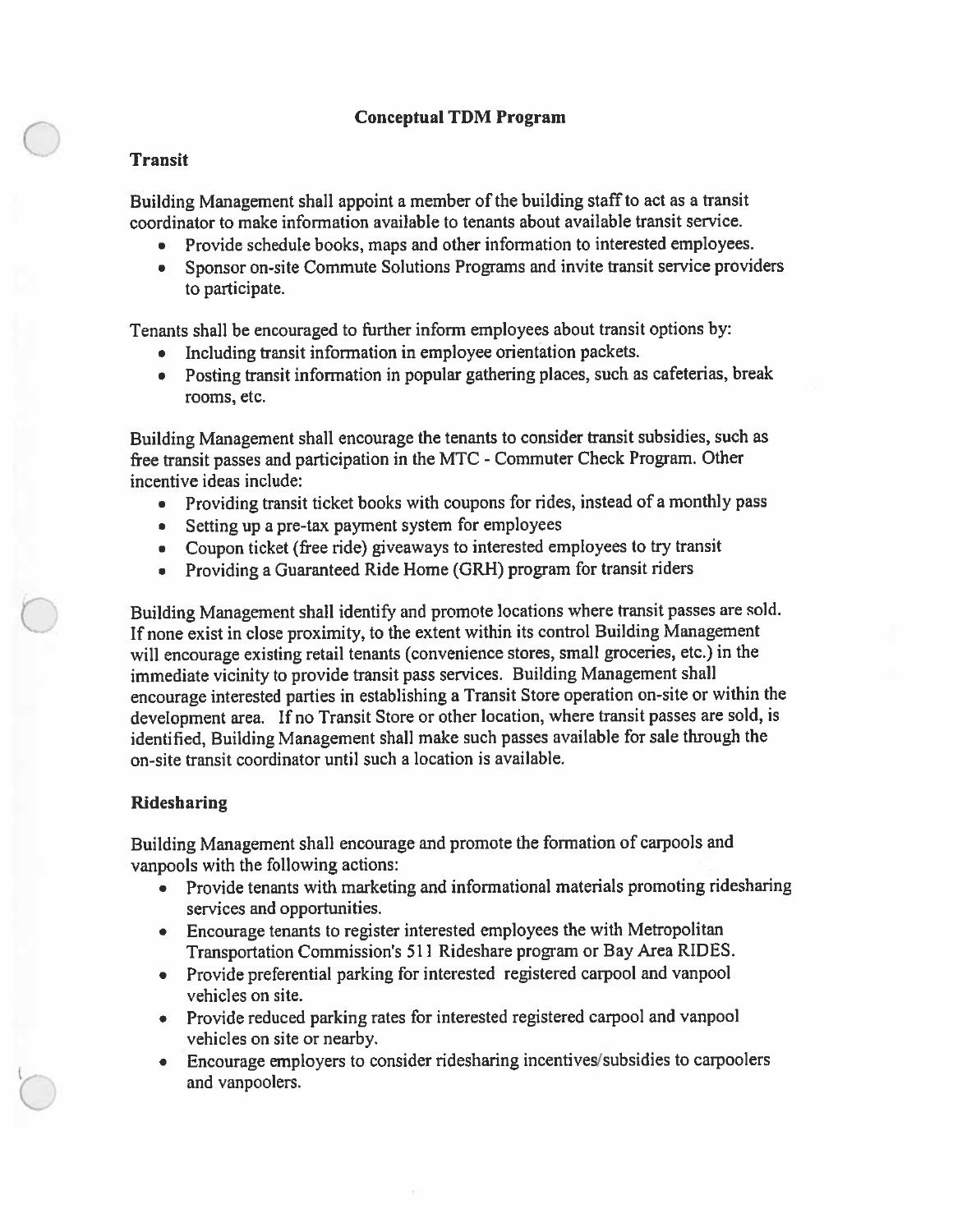#### **Conceptual TDM Program**

#### **Transit**

Building Management shall appoint a member of the building staff to act as a transit coordinator to make information available to tenants about available transit service.

- Provide schedule books, maps and other information to interested employees.
- Sponsor on-site Commute Solutions Programs and invite transit service providers to participate.

Tenants shall be encouraged to further inform employees about transit options by:

- Including transit information in employee orientation packets.  $\bullet$
- Posting transit information in popular gathering places, such as cafeterias, break rooms, etc.

Building Management shall encourage the tenants to consider transit subsidies, such as free transit passes and participation in the MTC - Commuter Check Program. Other incentive ideas include:

- Providing transit ticket books with coupons for rides, instead of a monthly pass
- Setting up a pre-tax payment system for employees  $\bullet$
- Coupon ticket (free ride) giveaways to interested employees to try transit
- Providing a Guaranteed Ride Home (GRH) program for transit riders  $\bullet$

Building Management shall identify and promote locations where transit passes are sold. If none exist in close proximity, to the extent within its control Building Management will encourage existing retail tenants (convenience stores, small groceries, etc.) in the immediate vicinity to provide transit pass services. Building Management shall encourage interested parties in establishing a Transit Store operation on-site or within the development area. If no Transit Store or other location, where transit passes are sold, is identified, Building Management shall make such passes available for sale through the on-site transit coordinator until such a location is available.

#### **Ridesharing**

Building Management shall encourage and promote the formation of carpools and vanpools with the following actions:

- Provide tenants with marketing and informational materials promoting ridesharing services and opportunities.
- Encourage tenants to register interested employees the with Metropolitan Transportation Commission's 511 Rideshare program or Bay Area RIDES.
- Provide preferential parking for interested registered carpool and vanpool  $\bullet$ vehicles on site.
- Provide reduced parking rates for interested registered carpool and vanpool vehicles on site or nearby.
- Encourage employers to consider ridesharing incentives/subsidies to carpoolers  $\bullet$ and vanpoolers.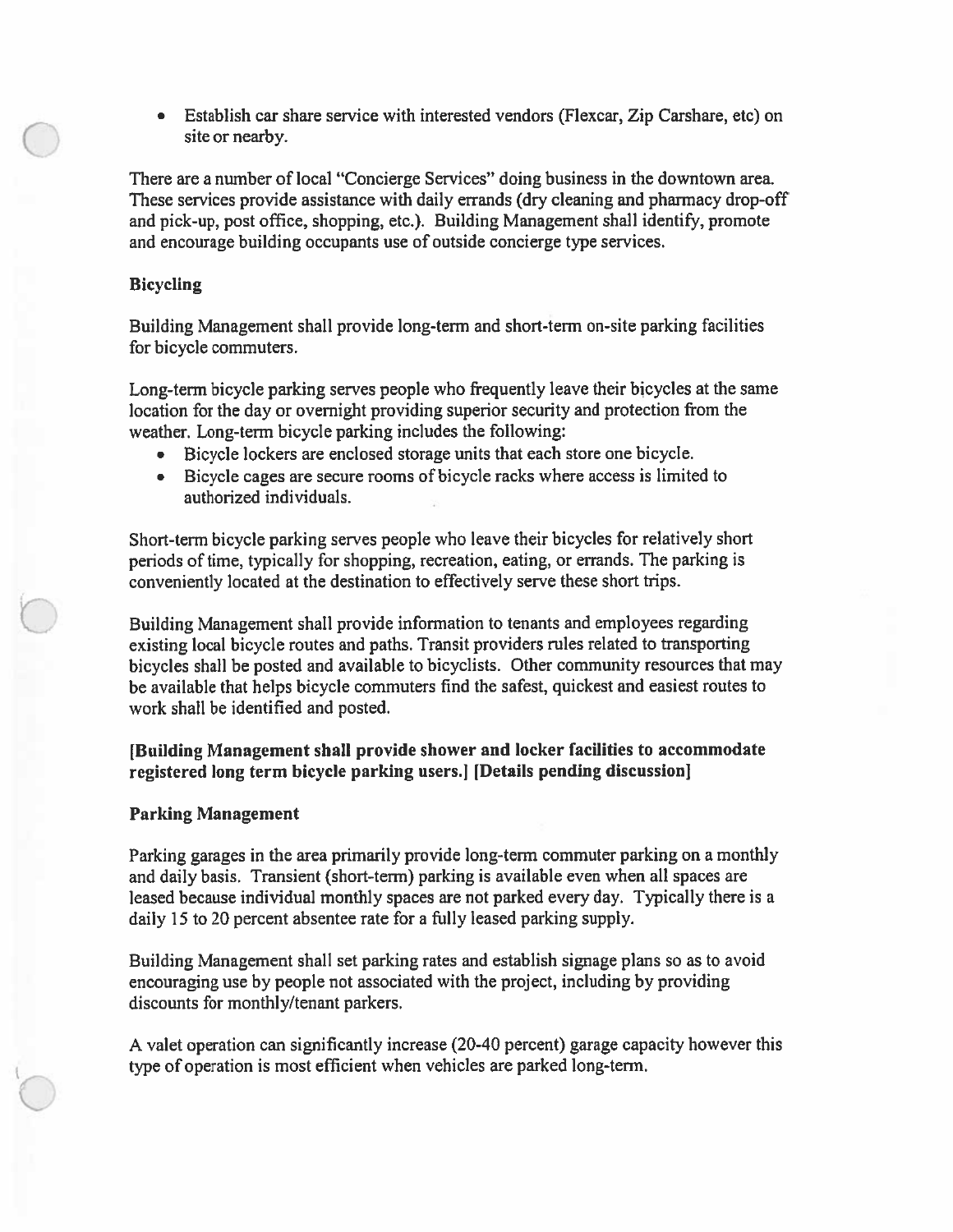$\bullet$ Establish car share service with interested vendors (Flexcar, Zip Carshare, etc) on site or nearby.

There are a number of local "Concierge Services" doing business in the downtown area. These services provide assistance with daily errands (dry cleaning and pharmacy drop-off and pick-up, post office, shopping, etc.). Building Management shall identify, promote and encourage building occupants use of outside concierge type services.

#### **Bicycling**

Building Management shall provide long-term and short-term on-site parking facilities for bicycle commuters.

Long-term bicycle parking serves people who frequently leave their bicycles at the same location for the day or overnight providing superior security and protection from the weather. Long-term bicycle parking includes the following:

- Bicycle lockers are enclosed storage units that each store one bicycle.  $\bullet$
- Bicycle cages are secure rooms of bicycle racks where access is limited to authorized individuals.

Short-term bicycle parking serves people who leave their bicycles for relatively short periods of time, typically for shopping, recreation, eating, or errands. The parking is conveniently located at the destination to effectively serve these short trips.

Building Management shall provide information to tenants and employees regarding existing local bicycle routes and paths. Transit providers rules related to transporting bicycles shall be posted and available to bicyclists. Other community resources that may be available that helps bicycle commuters find the safest, quickest and easiest routes to work shall be identified and posted.

# [Building Management shall provide shower and locker facilities to accommodate registered long term bicycle parking users. [Details pending discussion]

#### **Parking Management**

Parking garages in the area primarily provide long-term commuter parking on a monthly and daily basis. Transient (short-term) parking is available even when all spaces are leased because individual monthly spaces are not parked every day. Typically there is a daily 15 to 20 percent absentee rate for a fully leased parking supply.

Building Management shall set parking rates and establish signage plans so as to avoid encouraging use by people not associated with the project, including by providing discounts for monthly/tenant parkers.

A valet operation can significantly increase (20-40 percent) garage capacity however this type of operation is most efficient when vehicles are parked long-term.